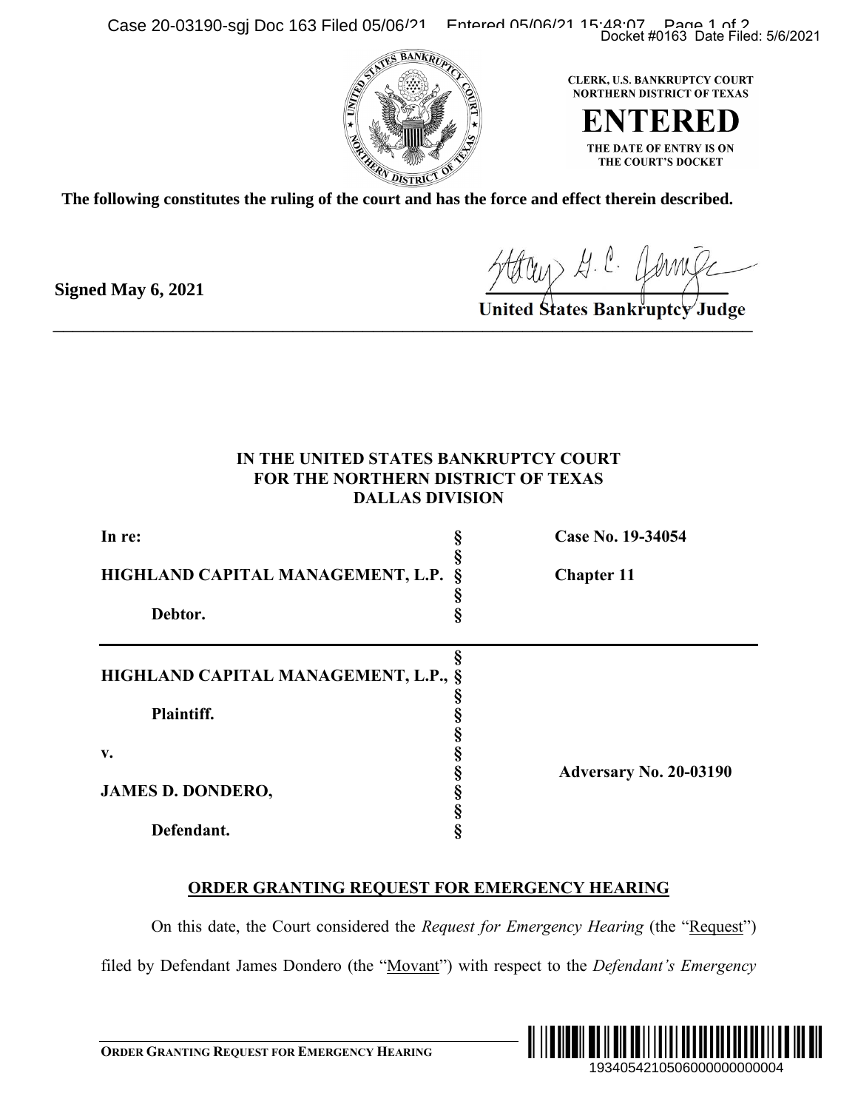Case 20-03190-sgj Doc 163 Filed 05/06/21 Entered 05/06/21 15:48:07 Page 1 of 2





**The following constitutes the ruling of the court and has the force and effect therein described.**

## **IN THE UNITED STATES BANKRUPTCY COURT FOR THE NORTHERN DISTRICT OF TEXAS DALLAS DIVISION**

|                                                                                                                                      | Docket #0163 Date Filed: 5/6/2021                                                                                             |
|--------------------------------------------------------------------------------------------------------------------------------------|-------------------------------------------------------------------------------------------------------------------------------|
|                                                                                                                                      | CLERK, U.S. BANKRUPTCY COURT<br><b>NORTHERN DISTRICT OF TEXAS</b><br>ENTERED<br>THE DATE OF ENTRY IS ON<br>THE COURT'S DOCKET |
| following constitutes the ruling of the court and has the force and effect therein described.                                        |                                                                                                                               |
| d May 6, 2021                                                                                                                        | Stary G. C. James<br>United States Bankruptcy Judge                                                                           |
| IN THE UNITED STATES BANKRUPTCY COURT<br>FOR THE NORTHERN DISTRICT OF TEXAS<br><b>DALLAS DIVISION</b>                                |                                                                                                                               |
| In re:                                                                                                                               | Case No. 19-34054                                                                                                             |
| §<br>HIGHLAND CAPITAL MANAGEMENT, L.P.<br>§<br>ş<br>Debtor.                                                                          | <b>Chapter 11</b>                                                                                                             |
| §<br>HIGHLAND CAPITAL MANAGEMENT, L.P., §<br>§<br>တ္ တာ တာ တာ တာ တာ တာ<br>Plaintiff.<br>V.<br><b>JAMES D. DONDERO,</b><br>Defendant. | <b>Adversary No. 20-03190</b>                                                                                                 |
| <b>ORDER GRANTING REQUEST FOR EMERGENCY HEARING</b>                                                                                  |                                                                                                                               |
| On this date, the Court considered the <i>Request for Emergency Hearing</i> (the "Request")                                          |                                                                                                                               |
| filed by Defendant James Dondero (the "Movant") with respect to the Defendant's Emergency                                            |                                                                                                                               |
| ORDER GRANTING REQUEST FOR EMERGENCY HEARING                                                                                         | 1934054210506000000000004                                                                                                     |

## **ORDER GRANTING REQUEST FOR EMERGENCY HEARING**



**Signed May 6, 2021**